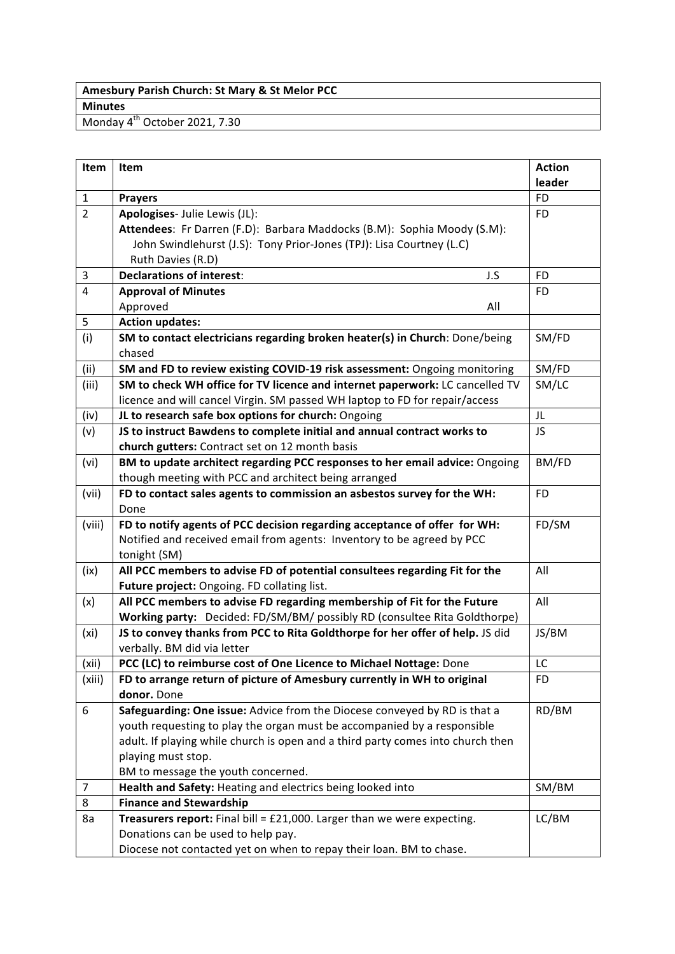## **Amesbury Parish Church: St Mary & St Melor PCC Minutes**

Monday 4<sup>th</sup> October 2021, 7.30

| Item              | Item                                                                              | <b>Action</b> |
|-------------------|-----------------------------------------------------------------------------------|---------------|
|                   |                                                                                   | leader        |
| $\mathbf{1}$      | <b>Prayers</b>                                                                    | FD            |
| $\overline{2}$    | Apologises- Julie Lewis (JL):                                                     | <b>FD</b>     |
|                   | Attendees: Fr Darren (F.D): Barbara Maddocks (B.M): Sophia Moody (S.M):           |               |
|                   | John Swindlehurst (J.S): Tony Prior-Jones (TPJ): Lisa Courtney (L.C)              |               |
|                   | Ruth Davies (R.D)                                                                 |               |
| 3                 | <b>Declarations of interest:</b><br>J.S                                           | <b>FD</b>     |
| $\overline{4}$    | <b>Approval of Minutes</b>                                                        | FD.           |
|                   | Approved<br>All                                                                   |               |
| 5                 | <b>Action updates:</b>                                                            |               |
| (i)               | SM to contact electricians regarding broken heater(s) in Church: Done/being       | SM/FD         |
|                   | chased                                                                            |               |
| (ii)              | SM and FD to review existing COVID-19 risk assessment: Ongoing monitoring         | SM/FD         |
| (iii)             | SM to check WH office for TV licence and internet paperwork: LC cancelled TV      | SM/LC         |
|                   | licence and will cancel Virgin. SM passed WH laptop to FD for repair/access       |               |
| (iv)              | JL to research safe box options for church: Ongoing                               | JL            |
| (v)               | JS to instruct Bawdens to complete initial and annual contract works to           | JS            |
|                   | church gutters: Contract set on 12 month basis                                    |               |
| (vi)              | BM to update architect regarding PCC responses to her email advice: Ongoing       | BM/FD         |
|                   | though meeting with PCC and architect being arranged                              |               |
| (vii)             | FD to contact sales agents to commission an asbestos survey for the WH:<br>Done   | <b>FD</b>     |
| (viii)            | FD to notify agents of PCC decision regarding acceptance of offer for WH:         | FD/SM         |
|                   | Notified and received email from agents: Inventory to be agreed by PCC            |               |
|                   | tonight (SM)                                                                      |               |
| (ix)              | All PCC members to advise FD of potential consultees regarding Fit for the        | All           |
|                   | Future project: Ongoing. FD collating list.                                       |               |
| (x)               | All PCC members to advise FD regarding membership of Fit for the Future           | All           |
|                   | Working party: Decided: FD/SM/BM/ possibly RD (consultee Rita Goldthorpe)         |               |
| (x <sub>i</sub> ) | JS to convey thanks from PCC to Rita Goldthorpe for her offer of help. JS did     | JS/BM         |
|                   | verbally. BM did via letter                                                       |               |
| (xii)             | PCC (LC) to reimburse cost of One Licence to Michael Nottage: Done                | LC            |
| (xiii)            | FD to arrange return of picture of Amesbury currently in WH to original           | FD            |
|                   | donor. Done                                                                       |               |
| 6                 | Safeguarding: One issue: Advice from the Diocese conveyed by RD is that a         | RD/BM         |
|                   | youth requesting to play the organ must be accompanied by a responsible           |               |
|                   | adult. If playing while church is open and a third party comes into church then   |               |
|                   | playing must stop.                                                                |               |
|                   | BM to message the youth concerned.                                                |               |
| 7                 | Health and Safety: Heating and electrics being looked into                        | SM/BM         |
| 8                 | <b>Finance and Stewardship</b>                                                    |               |
| 8a                | <b>Treasurers report:</b> Final bill = $£21,000$ . Larger than we were expecting. | LC/BM         |
|                   | Donations can be used to help pay.                                                |               |
|                   | Diocese not contacted yet on when to repay their loan. BM to chase.               |               |